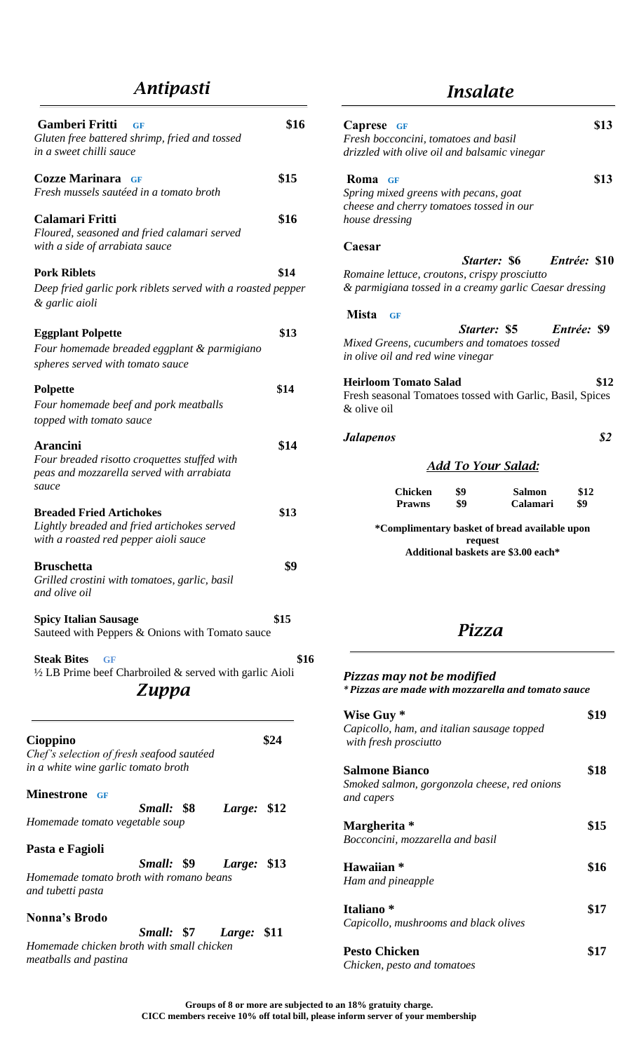# *Antipasti*

| Gamberi Fritti<br>GF<br>Gluten free battered shrimp, fried and tossed<br>in a sweet chilli sauce                        | \$16 |
|-------------------------------------------------------------------------------------------------------------------------|------|
| <b>Cozze Marinara</b><br>GF<br>Fresh mussels sautéed in a tomato broth                                                  | \$15 |
| Calamari Fritti<br>Floured, seasoned and fried calamari served<br>with a side of arrabiata sauce                        | \$16 |
| <b>Pork Riblets</b><br>Deep fried garlic pork riblets served with a roasted pepper<br>& garlic aioli                    | \$14 |
| <b>Eggplant Polpette</b><br>Four homemade breaded eggplant & parmigiano<br>spheres served with tomato sauce             | \$13 |
| <b>Polpette</b><br>Four homemade beef and pork meatballs<br>topped with tomato sauce                                    | \$14 |
| Arancini<br>Four breaded risotto croquettes stuffed with<br>peas and mozzarella served with arrabiata<br>sauce          | \$14 |
| <b>Breaded Fried Artichokes</b><br>Lightly breaded and fried artichokes served<br>with a roasted red pepper aioli sauce | \$13 |
| <b>Bruschetta</b><br>Grilled crostini with tomatoes, garlic, basil<br>and olive oil                                     | \$9  |
| <b>Spicy Italian Sausage</b><br>Sauteed with Peppers & Onions with Tomato sauce                                         | \$15 |
| <b>Steak Bites</b><br>GF<br>$\frac{1}{2}$ LB Prime beef Charbroiled & served with garlic Aioli<br>Zuppa                 | \$16 |
| Cioppino<br>Chef's selection of fresh seafood sautéed<br>in a white wine garlic tomato broth                            | \$24 |
| Minestrone<br><b>GF</b><br>Small: \$8<br>Large: \$12<br>Homemade tomato vegetable soup                                  |      |
| Pasta e Fagioli<br>Small: \$9<br>Large:<br>Homemade tomato broth with romano beans<br>and tubetti pasta                 | \$13 |
| Nonna's Brodo<br>Small: \$7<br>Large:<br>Homemade chicken broth with small chicken                                      | \$11 |

*meatballs and pastina* 

# *Insalate*

| Caprese<br>$\bf GF$                                                                                      |         |                                     |              | \$13 |
|----------------------------------------------------------------------------------------------------------|---------|-------------------------------------|--------------|------|
| Fresh bocconcini, tomatoes and basil                                                                     |         |                                     |              |      |
| drizzled with olive oil and balsamic vinegar                                                             |         |                                     |              |      |
| Roma GF                                                                                                  |         |                                     |              | \$13 |
| Spring mixed greens with pecans, goat                                                                    |         |                                     |              |      |
| cheese and cherry tomatoes tossed in our                                                                 |         |                                     |              |      |
| house dressing                                                                                           |         |                                     |              |      |
| Caesar                                                                                                   |         |                                     |              |      |
|                                                                                                          |         | Starter: \$6                        | Entrée: \$10 |      |
| Romaine lettuce, croutons, crispy prosciutto<br>& parmigiana tossed in a creamy garlic Caesar dressing   |         |                                     |              |      |
| <b>Mista</b><br>GF                                                                                       |         |                                     |              |      |
|                                                                                                          |         | Starter: \$5                        | Entrée: \$9  |      |
| Mixed Greens, cucumbers and tomatoes tossed                                                              |         |                                     |              |      |
| in olive oil and red wine vinegar                                                                        |         |                                     |              |      |
| <b>Heirloom Tomato Salad</b><br>Fresh seasonal Tomatoes tossed with Garlic, Basil, Spices<br>& olive oil |         |                                     |              | \$12 |
| <b>Jalapenos</b>                                                                                         |         |                                     |              | \$2  |
|                                                                                                          |         | <b>Add To Your Salad:</b>           |              |      |
| <b>Chicken</b>                                                                                           | \$9     | Salmon                              | \$12         |      |
| <b>Prawns</b>                                                                                            | \$9     | Calamari                            | \$9          |      |
| *Complimentary basket of bread available upon                                                            | request | Additional baskets are \$3.00 each* |              |      |
|                                                                                                          |         |                                     |              |      |
|                                                                                                          | Pizza   |                                     |              |      |
| Pizzas may not be modified<br>* Pizzas are made with mozzarella and tomato sauce                         |         |                                     |              |      |
| Wise Guy *                                                                                               |         |                                     |              | \$19 |

| * Pizzas are made with mozzarella and tomato sauce                                  |      |  |
|-------------------------------------------------------------------------------------|------|--|
| Wise Guy *<br>Capicollo, ham, and italian sausage topped<br>with fresh prosciutto   | \$19 |  |
| <b>Salmone Bianco</b><br>Smoked salmon, gorgonzola cheese, red onions<br>and capers | \$18 |  |
| Margherita *<br>Bocconcini, mozzarella and basil                                    | \$15 |  |
| Hawaiian *<br>Ham and pineapple                                                     | \$16 |  |
| Italiano*<br>Capicollo, mushrooms and black olives                                  | \$17 |  |
| <b>Pesto Chicken</b>                                                                | \$17 |  |

*Chicken, pesto and tomatoes*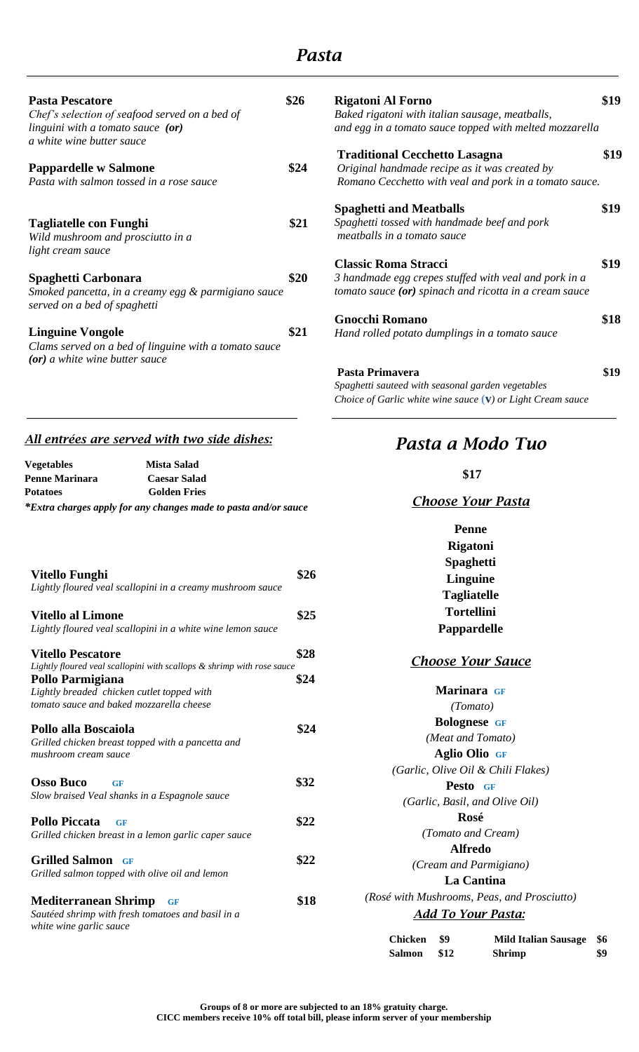#### *Pasta*

| <b>Pasta Pescatore</b>                                         | \$26 | <b>Rigatoni Al Forno</b>                                              | \$19 |
|----------------------------------------------------------------|------|-----------------------------------------------------------------------|------|
| Chef's selection of seafood served on a bed of                 |      | Baked rigatoni with italian sausage, meatballs,                       |      |
| linguini with a tomato sauce (or)<br>a white wine butter sauce |      | and egg in a tomato sauce topped with melted mozzarella               |      |
|                                                                |      | <b>Traditional Cecchetto Lasagna</b>                                  | \$19 |
| <b>Pappardelle w Salmone</b>                                   | \$24 | Original handmade recipe as it was created by                         |      |
| Pasta with salmon tossed in a rose sauce                       |      | Romano Cecchetto with veal and pork in a tomato sauce.                |      |
|                                                                |      | <b>Spaghetti and Meatballs</b>                                        | \$19 |
| <b>Tagliatelle con Funghi</b>                                  | \$21 | Spaghetti tossed with handmade beef and pork                          |      |
| Wild mushroom and prosciutto in a                              |      | meatballs in a tomato sauce                                           |      |
| light cream sauce                                              |      |                                                                       |      |
|                                                                |      | <b>Classic Roma Stracci</b>                                           | \$19 |
| Spaghetti Carbonara                                            | \$20 | 3 handmade egg crepes stuffed with veal and pork in a                 |      |
| Smoked pancetta, in a creamy egg & parmigiano sauce            |      | tomato sauce (or) spinach and ricotta in a cream sauce                |      |
| served on a bed of spaghetti                                   |      |                                                                       |      |
|                                                                |      | <b>Gnocchi Romano</b>                                                 | \$18 |
| <b>Linguine Vongole</b>                                        | \$21 | Hand rolled potato dumplings in a tomato sauce                        |      |
| Clams served on a bed of linguine with a tomato sauce          |      |                                                                       |      |
| (or) a white wine butter sauce                                 |      |                                                                       |      |
|                                                                |      | Pasta Primavera                                                       | \$19 |
|                                                                |      | Spaghetti sauteed with seasonal garden vegetables                     |      |
|                                                                |      | Choice of Garlic white wine sauce $(\mathbf{v})$ or Light Cream sauce |      |

#### *All entrées are served with two side dishes:*

| Vegetables     | Mista Salad                                                     |
|----------------|-----------------------------------------------------------------|
| Penne Marinara | <b>Caesar Salad</b>                                             |
| Potatoes       | <b>Golden Fries</b>                                             |
|                | *Extra charges apply for any changes made to pasta and/or sauce |

# *Pasta a Modo Tuo*

**\$17**

*Choose Your Pasta*

|                                                                                        |      | Penne                                                       |  |  |
|----------------------------------------------------------------------------------------|------|-------------------------------------------------------------|--|--|
|                                                                                        |      | <b>Rigatoni</b>                                             |  |  |
|                                                                                        |      | <b>Spaghetti</b>                                            |  |  |
| Vitello Funghi                                                                         | \$26 | <b>Linguine</b>                                             |  |  |
| Lightly floured veal scallopini in a creamy mushroom sauce                             |      | <b>Tagliatelle</b>                                          |  |  |
| <b>Vitello al Limone</b>                                                               | \$25 | <b>Tortellini</b>                                           |  |  |
| Lightly floured veal scallopini in a white wine lemon sauce                            |      | Pappardelle                                                 |  |  |
| <b>Vitello Pescatore</b>                                                               | \$28 |                                                             |  |  |
| Lightly floured veal scallopini with scallops & shrimp with rose sauce                 |      | <b>Choose Your Sauce</b>                                    |  |  |
| Pollo Parmigiana<br>Lightly breaded chicken cutlet topped with                         | \$24 | Marinara GF                                                 |  |  |
| tomato sauce and baked mozzarella cheese                                               |      | (Tomato)                                                    |  |  |
|                                                                                        |      | <b>Bolognese</b> GF                                         |  |  |
| Pollo alla Boscaiola                                                                   | \$24 | (Meat and Tomato)                                           |  |  |
| Grilled chicken breast topped with a pancetta and<br>mushroom cream sauce              |      | <b>Aglio Olio GF</b>                                        |  |  |
|                                                                                        |      | (Garlic, Olive Oil & Chili Flakes)                          |  |  |
| <b>Osso Buco</b><br><b>GF</b>                                                          | \$32 | Pesto GF                                                    |  |  |
| Slow braised Veal shanks in a Espagnole sauce                                          |      | (Garlic, Basil, and Olive Oil)                              |  |  |
| <b>Pollo Piccata</b>                                                                   |      | Rosé                                                        |  |  |
| GF<br>Grilled chicken breast in a lemon garlic caper sauce                             | \$22 | (Tomato and Cream)                                          |  |  |
|                                                                                        |      | <b>Alfredo</b>                                              |  |  |
| <b>Grilled Salmon</b> GF                                                               | \$22 | (Cream and Parmigiano)                                      |  |  |
| Grilled salmon topped with olive oil and lemon                                         |      | La Cantina                                                  |  |  |
|                                                                                        |      | (Rosé with Mushrooms, Peas, and Prosciutto)                 |  |  |
| <b>Mediterranean Shrimp</b><br>GF<br>Sautéed shrimp with fresh tomatoes and basil in a | \$18 | <b>Add To Your Pasta:</b>                                   |  |  |
| white wine garlic sauce                                                                |      |                                                             |  |  |
|                                                                                        |      | <b>Chicken</b><br>\$9<br><b>Mild Italian Sausage</b><br>\$6 |  |  |
|                                                                                        |      | \$12<br>\$9<br><b>Salmon</b><br><b>Shrimp</b>               |  |  |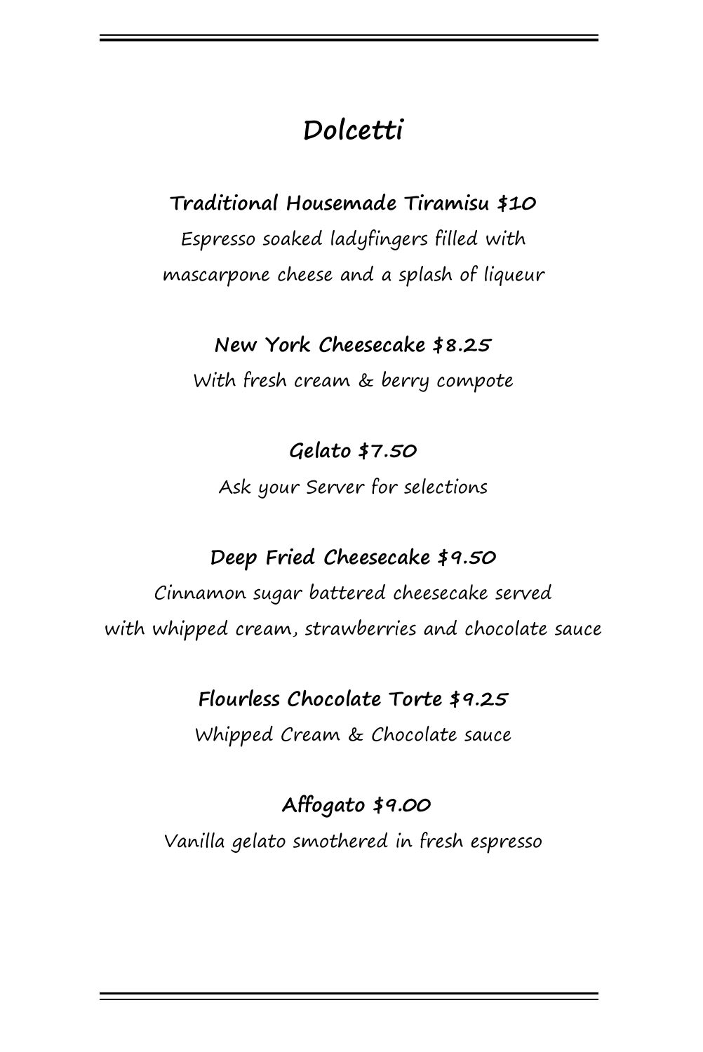#### **Dolcetti**

**Traditional Housemade Tiramisu \$10**

Espresso soaked ladyfingers filled with mascarpone cheese and a splash of liqueur

**New York Cheesecake \$8.25** With fresh cream & berry compote

**Gelato \$7.50** Ask your Server for selections

**Deep Fried Cheesecake \$9.50**

Cinnamon sugar battered cheesecake served with whipped cream, strawberries and chocolate sauce

**Flourless Chocolate Torte \$9.25**

Whipped Cream & Chocolate sauce

**Affogato \$9.00** Vanilla gelato smothered in fresh espresso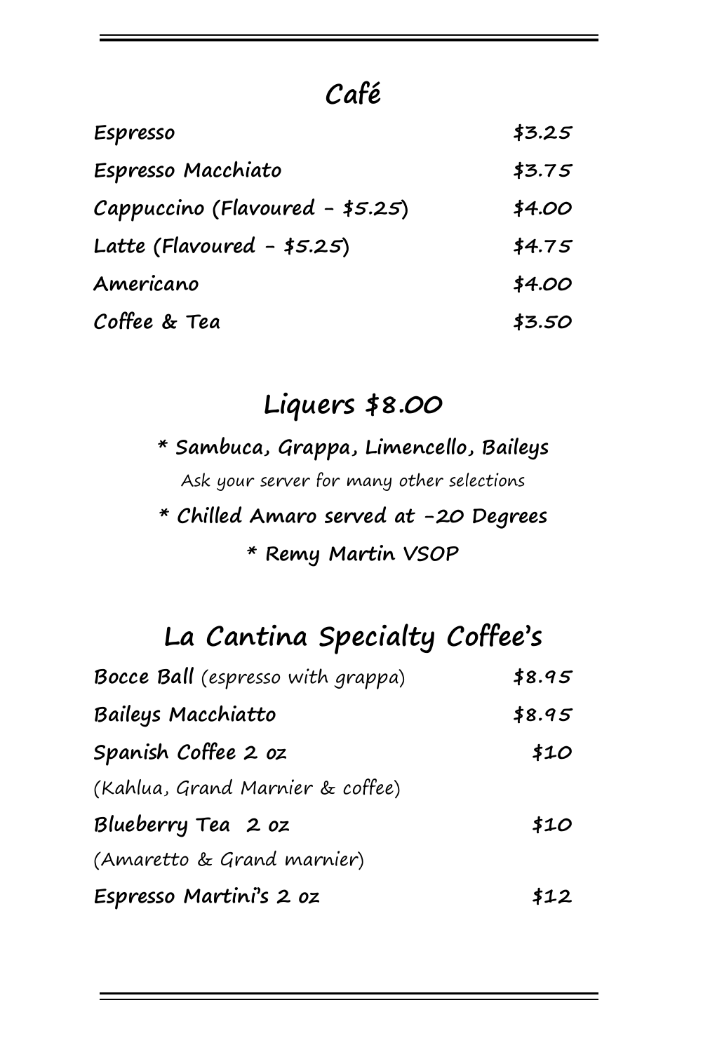#### **Café**

| <b>Espresso</b>                 | \$3.25 |
|---------------------------------|--------|
| Espresso Macchiato              | \$3.75 |
| Cappuccino (Flavoured - \$5.25) | \$4.00 |
| Latte (Flavoured $-$ \$5.25)    | \$4.75 |
| Americano                       | \$4.00 |
| Coffee & Tea                    | \$3.50 |

## **Liquers \$8.00**

**\* Sambuca, Grappa, Limencello, Baileys** Ask your server for many other selections **\* Chilled Amaro served at -20 Degrees \* Remy Martin VSOP**

# **La Cantina Specialty Coffee's**

| <b>Bocce Ball</b> (espresso with grappa) | \$8.95 |
|------------------------------------------|--------|
| <b>Baileys Macchiatto</b>                | \$8.95 |
| Spanish Coffee 2 oz                      | \$10   |
| (Kahlua, Grand Marnier & coffee)         |        |
| Blueberry Tea 2 oz                       | \$10   |
| (Amaretto & Grand marnier)               |        |
| Espresso Martini's 2 oz                  | 512    |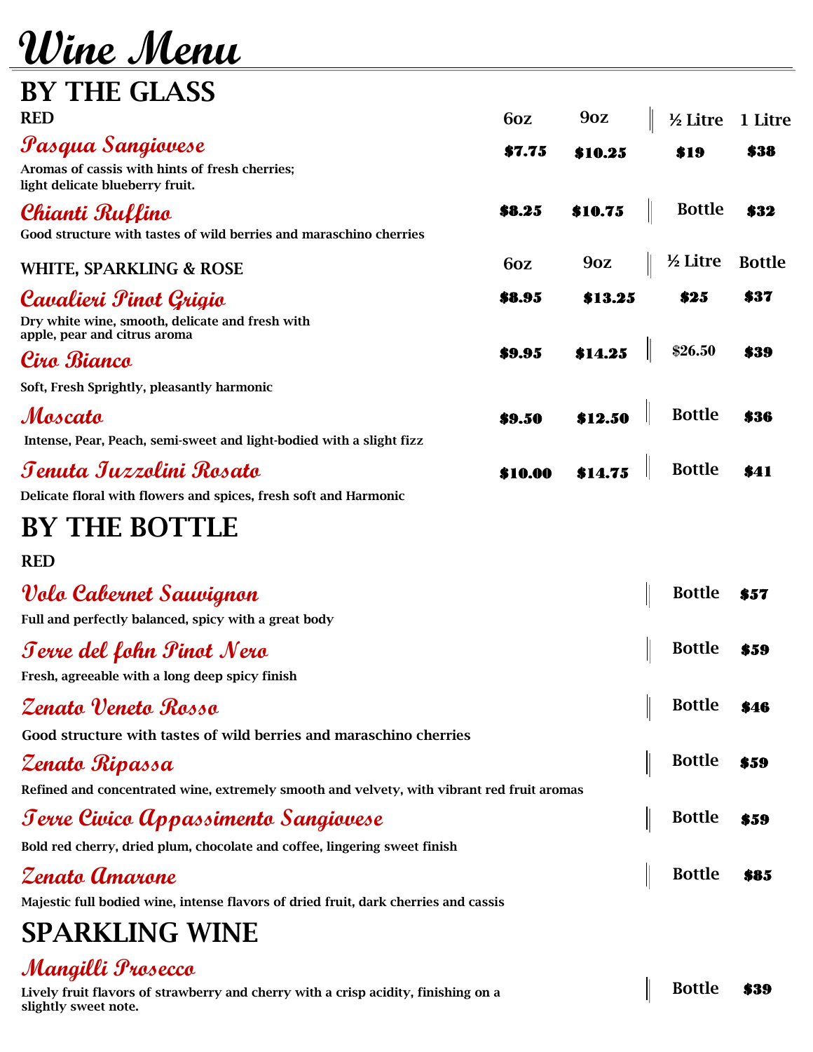# **Wine Menu BY THE GLASS**

| DI TUT ATYY                                                                                                  |         |                 |               |               |
|--------------------------------------------------------------------------------------------------------------|---------|-----------------|---------------|---------------|
| <b>RED</b>                                                                                                   | 6oz     | 90Z             | ½ Litre       | 1 Litre       |
| Pasqua Sangiovese<br>Aromas of cassis with hints of fresh cherries;<br>light delicate blueberry fruit.       | \$7.75  | \$10.25         | \$19          | \$38          |
| Chianti Ruffino<br>Good structure with tastes of wild berries and maraschino cherries                        | \$8.25  | \$10.75         | <b>Bottle</b> | \$32          |
| <b>WHITE, SPARKLING &amp; ROSE</b>                                                                           | 6oz     | 9 <sub>oz</sub> | ½ Litre       | <b>Bottle</b> |
| Cavalieri Pinot Grigio<br>Dry white wine, smooth, delicate and fresh with<br>apple, pear and citrus aroma    | \$8.95  | \$13.25         | \$25          | \$37          |
| Ciro Bianco                                                                                                  | \$9.95  | \$14.25         | \$26.50       | \$39          |
| Soft, Fresh Sprightly, pleasantly harmonic                                                                   |         |                 |               |               |
| Moscato<br>Intense, Pear, Peach, semi-sweet and light-bodied with a slight fizz                              | \$9.50  | \$12.50         | <b>Bottle</b> | \$36          |
| Tenuta Iuzzolini Rosato<br>Delicate floral with flowers and spices, fresh soft and Harmonic                  | \$10.00 | \$14.75         | <b>Bottle</b> | \$41          |
| <b>BY THE BOTTLE</b>                                                                                         |         |                 |               |               |
| <b>RED</b>                                                                                                   |         |                 |               |               |
| Volo Cabernet Sauvignon<br>Full and perfectly balanced, spicy with a great body                              |         |                 | <b>Bottle</b> | 857           |
| Terre del fohn Pinot Nero<br>Fresh, agreeable with a long deep spicy finish                                  |         |                 | <b>Bottle</b> | \$59          |
| Zenato Veneto Rosso<br>Good structure with tastes of wild berries and maraschino cherries                    |         |                 | <b>Bottle</b> | S46           |
| Zenato Ripassa<br>Refined and concentrated wine, extremely smooth and velvety, with vibrant red fruit aromas |         |                 | <b>Bottle</b> | \$59          |
| Terre Civico Appassimento Sangiovese                                                                         |         |                 | <b>Bottle</b> | \$59          |
| Bold red cherry, dried plum, chocolate and coffee, lingering sweet finish                                    |         |                 |               |               |
| Zenato Amarone<br>Majestic full bodied wine, intense flavors of dried fruit, dark cherries and cassis        |         |                 | <b>Bottle</b> | 885           |
| <b>SPARKLING WINE</b>                                                                                        |         |                 |               |               |
|                                                                                                              |         |                 |               |               |
| Mangilli Prosecco                                                                                            |         |                 |               |               |

**Lively fruit flavors of strawberry and cherry with a crisp acidity, finishing on a** 

**slightly sweet note.** 

**Bottle** \$39

 $\begin{array}{c} \begin{array}{c} \begin{array}{c} \end{array} \end{array} \end{array}$